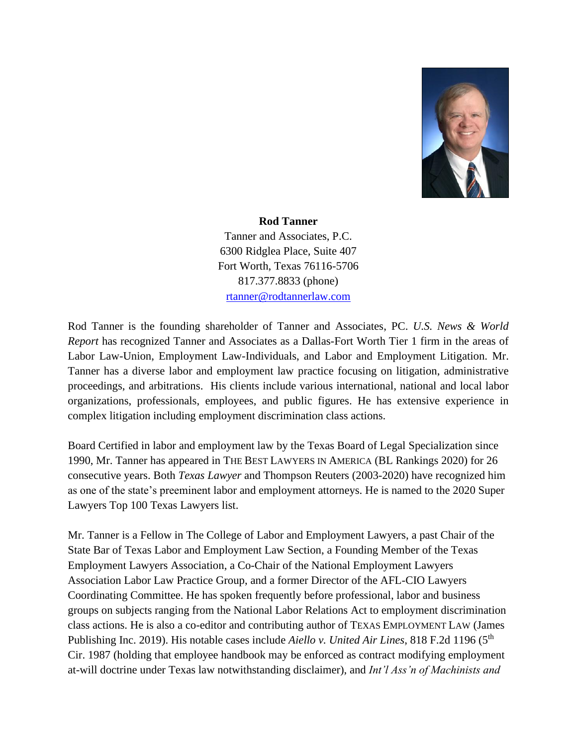

## **Rod Tanner**

Tanner and Associates, P.C. 6300 Ridglea Place, Suite 407 Fort Worth, Texas 76116-5706 817.377.8833 (phone) [rtanner@rodtannerlaw.com](mailto:rtanner@rodtannerlaw.com)

Rod Tanner is the founding shareholder of Tanner and Associates, PC. *U.S. News & World Report* has recognized Tanner and Associates as a Dallas-Fort Worth Tier 1 firm in the areas of Labor Law-Union, Employment Law-Individuals, and Labor and Employment Litigation. Mr. Tanner has a diverse labor and employment law practice focusing on litigation, administrative proceedings, and arbitrations. His clients include various international, national and local labor organizations, professionals, employees, and public figures. He has extensive experience in complex litigation including employment discrimination class actions.

Board Certified in labor and employment law by the Texas Board of Legal Specialization since 1990, Mr. Tanner has appeared in THE BEST LAWYERS IN AMERICA (BL Rankings 2020) for 26 consecutive years. Both *Texas Lawyer* and Thompson Reuters (2003-2020) have recognized him as one of the state's preeminent labor and employment attorneys. He is named to the 2020 Super Lawyers Top 100 Texas Lawyers list.

Mr. Tanner is a Fellow in The College of Labor and Employment Lawyers, a past Chair of the State Bar of Texas Labor and Employment Law Section, a Founding Member of the Texas Employment Lawyers Association, a Co-Chair of the National Employment Lawyers Association Labor Law Practice Group, and a former Director of the AFL-CIO Lawyers Coordinating Committee. He has spoken frequently before professional, labor and business groups on subjects ranging from the National Labor Relations Act to employment discrimination class actions. He is also a co-editor and contributing author of TEXAS EMPLOYMENT LAW (James Publishing Inc. 2019). His notable cases include *Aiello v. United Air Lines*, 818 F.2d 1196 (5<sup>th</sup>) Cir. 1987 (holding that employee handbook may be enforced as contract modifying employment at-will doctrine under Texas law notwithstanding disclaimer), and *Int'l Ass'n of Machinists and*